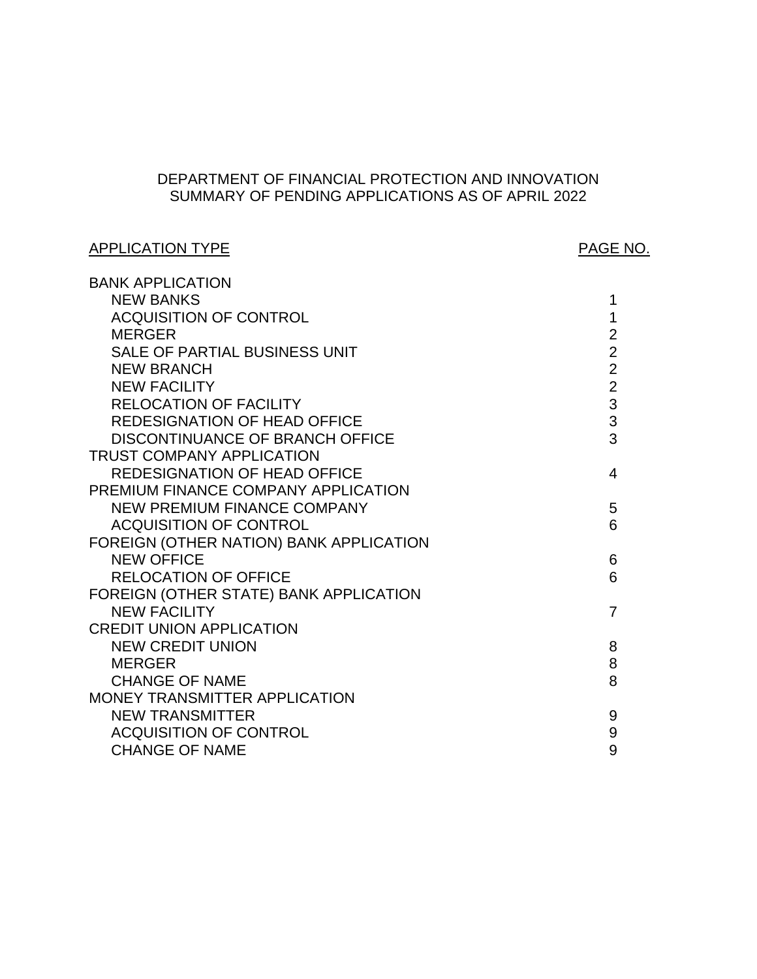# DEPARTMENT OF FINANCIAL PROTECTION AND INNOVATION SUMMARY OF PENDING APPLICATIONS AS OF APRIL 2022

# APPLICATION TYPE APPLICATION TYPE

| <b>BANK APPLICATION</b>                 |                |
|-----------------------------------------|----------------|
| <b>NEW BANKS</b>                        | 1              |
| <b>ACQUISITION OF CONTROL</b>           | 1              |
| <b>MERGER</b>                           | $\overline{2}$ |
| SALE OF PARTIAL BUSINESS UNIT           | $\overline{2}$ |
| <b>NEW BRANCH</b>                       | $\overline{2}$ |
| <b>NEW FACILITY</b>                     | $\overline{2}$ |
| <b>RELOCATION OF FACILITY</b>           | 3              |
| <b>REDESIGNATION OF HEAD OFFICE</b>     | 3              |
| DISCONTINUANCE OF BRANCH OFFICE         | 3              |
| <b>TRUST COMPANY APPLICATION</b>        |                |
| <b>REDESIGNATION OF HEAD OFFICE</b>     | 4              |
| PREMIUM FINANCE COMPANY APPLICATION     |                |
| <b>NEW PREMIUM FINANCE COMPANY</b>      | 5              |
| <b>ACQUISITION OF CONTROL</b>           | 6              |
| FOREIGN (OTHER NATION) BANK APPLICATION |                |
| <b>NEW OFFICE</b>                       | 6              |
| <b>RELOCATION OF OFFICE</b>             | 6              |
| FOREIGN (OTHER STATE) BANK APPLICATION  |                |
| <b>NEW FACILITY</b>                     | $\overline{7}$ |
| <b>CREDIT UNION APPLICATION</b>         |                |
| <b>NEW CREDIT UNION</b>                 | 8              |
| <b>MERGER</b>                           | 8              |
| <b>CHANGE OF NAME</b>                   | 8              |
| MONEY TRANSMITTER APPLICATION           |                |
| <b>NEW TRANSMITTER</b>                  | 9              |
| <b>ACQUISITION OF CONTROL</b>           | 9              |
| <b>CHANGE OF NAME</b>                   | 9              |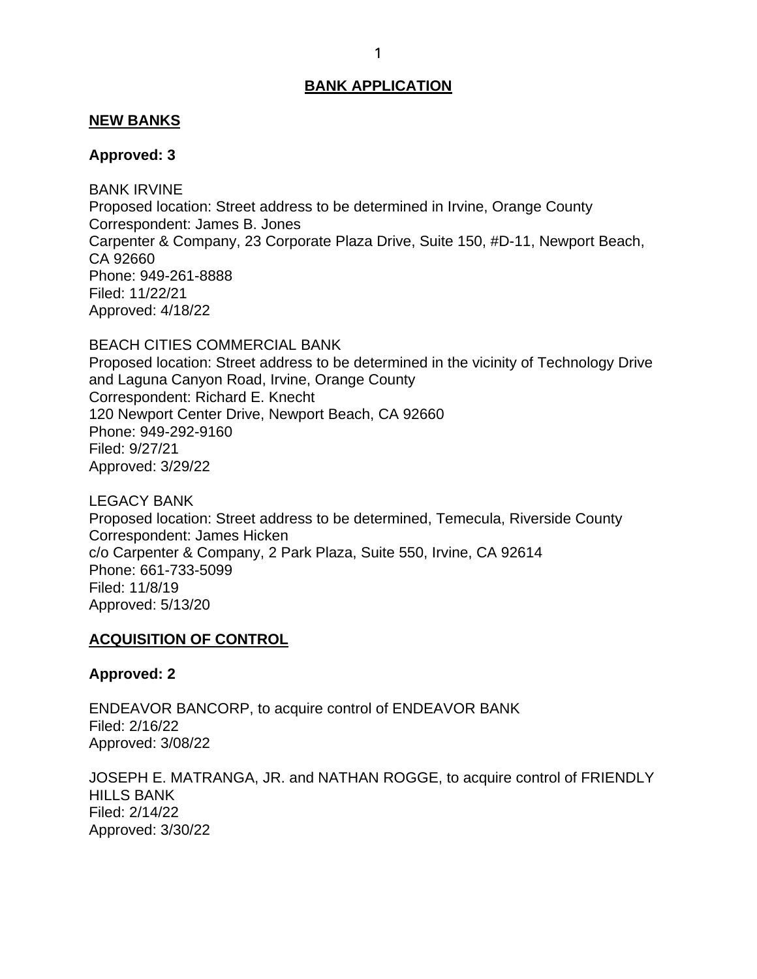## <span id="page-1-0"></span>**NEW BANKS**

#### **Approved: 3**

 BANK IRVINE Proposed location: Street address to be determined in Irvine, Orange County Correspondent: James B. Jones Carpenter & Company, 23 Corporate Plaza Drive, Suite 150, #D-11, Newport Beach, CA 92660 Phone: 949-261-8888 Filed: 11/22/21 Approved: 4/18/22

 BEACH CITIES COMMERCIAL BANK Proposed location: Street address to be determined in the vicinity of Technology Drive and Laguna Canyon Road, Irvine, Orange County Correspondent: Richard E. Knecht 120 Newport Center Drive, Newport Beach, CA 92660 Phone: 949-292-9160 Filed: 9/27/21 Approved: 3/29/22

 LEGACY BANK Proposed location: Street address to be determined, Temecula, Riverside County c/o Carpenter & Company, 2 Park Plaza, Suite 550, Irvine, CA 92614 Filed: 11/8/19 Approved: 5/13/20 Correspondent: James Hicken Phone: 661-733-5099

## **ACQUISITION OF CONTROL**

### **Approved: 2**

ENDEAVOR BANCORP, to acquire control of ENDEAVOR BANK Filed: 2/16/22 Approved: 3/08/22

 JOSEPH E. MATRANGA, JR. and NATHAN ROGGE, to acquire control of FRIENDLY Filed: 2/14/22 HILLS BANK Approved: 3/30/22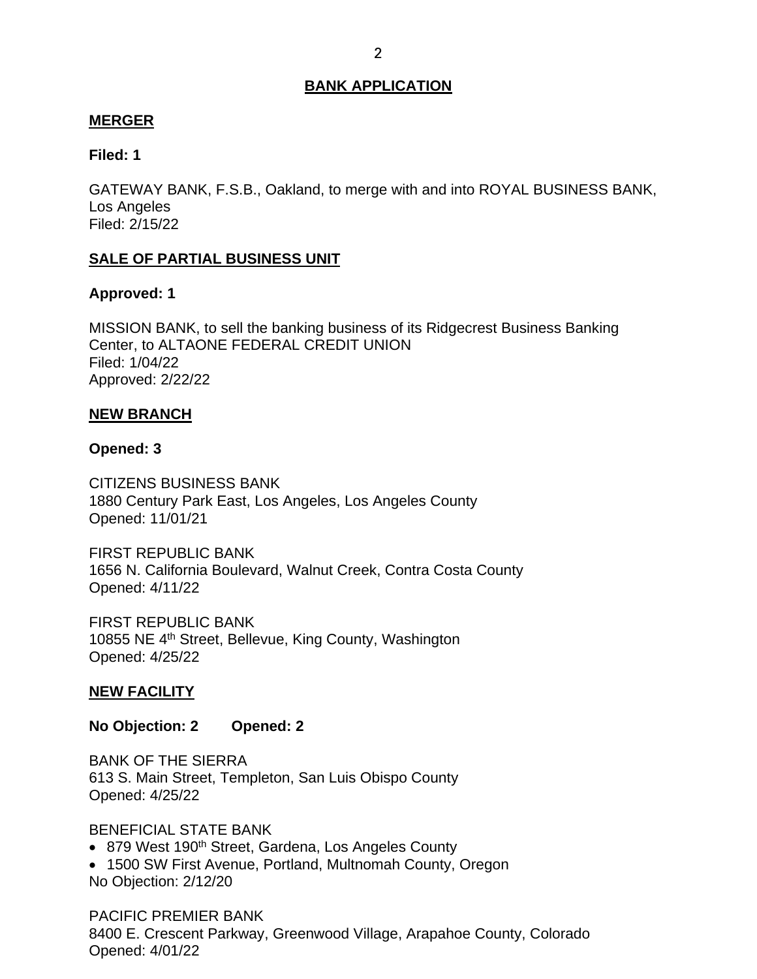## <span id="page-2-0"></span>**MERGER**

## **Filed: 1**

 Los Angeles GATEWAY BANK, F.S.B., Oakland, to merge with and into ROYAL BUSINESS BANK, Filed: 2/15/22

## **SALE OF PARTIAL BUSINESS UNIT**

### **Approved: 1**

 MISSION BANK, to sell the banking business of its Ridgecrest Business Banking Center, to ALTAONE FEDERAL CREDIT UNION Filed: 1/04/22 Approved: 2/22/22

### **NEW BRANCH**

### **Opened: 3**

CITIZENS BUSINESS BANK 1880 Century Park East, Los Angeles, Los Angeles County Opened: 11/01/21

 Opened: 4/11/22 FIRST REPUBLIC BANK 1656 N. California Boulevard, Walnut Creek, Contra Costa County

10855 NE 4<sup>th</sup> Street, Bellevue, King County, Washington FIRST REPUBLIC BANK Opened: 4/25/22

## **NEW FACILITY**

**No Objection: 2 Opened: 2** 

 BANK OF THE SIERRA 613 S. Main Street, Templeton, San Luis Obispo County Opened: 4/25/22

BENEFICIAL STATE BANK

- 879 West 190<sup>th</sup> Street, Gardena, Los Angeles County
- • 1500 SW First Avenue, Portland, Multnomah County, Oregon No Objection: 2/12/20

PACIFIC PREMIER BANK 8400 E. Crescent Parkway, Greenwood Village, Arapahoe County, Colorado Opened: 4/01/22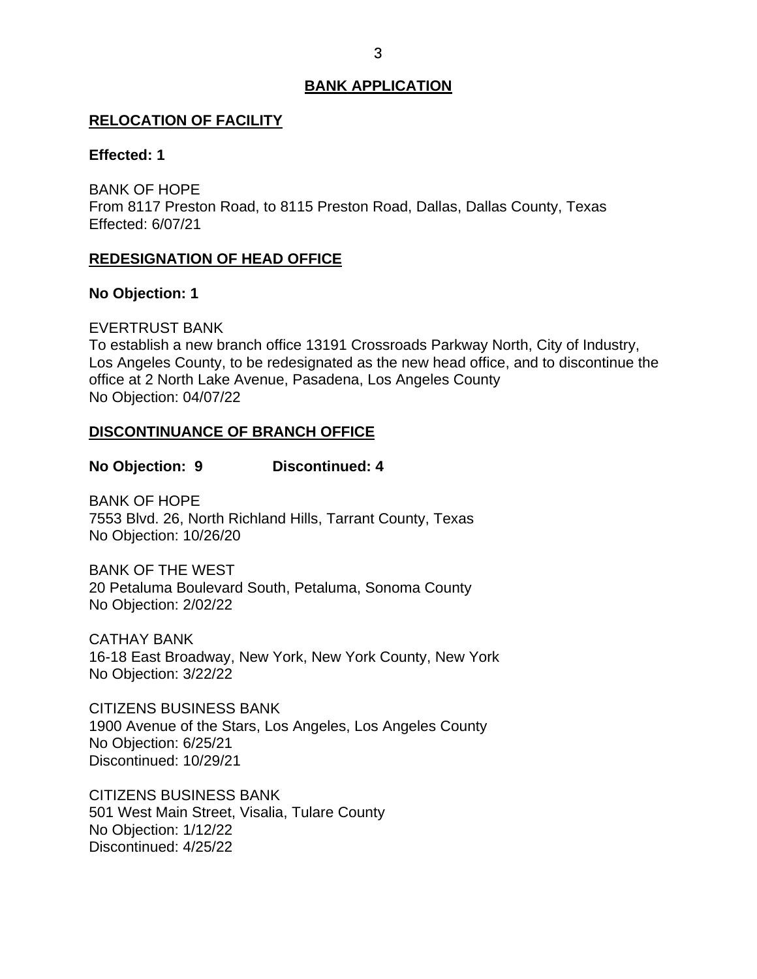## <span id="page-3-0"></span>**RELOCATION OF FACILITY**

# **Effected: 1**

BANK OF HOPE From 8117 Preston Road, to 8115 Preston Road, Dallas, Dallas County, Texas Effected: 6/07/21

## **REDESIGNATION OF HEAD OFFICE**

## **No Objection: 1**

## EVERTRUST BANK

 To establish a new branch office 13191 Crossroads Parkway North, City of Industry, office at 2 North Lake Avenue, Pasadena, Los Angeles County Los Angeles County, to be redesignated as the new head office, and to discontinue the No Objection: 04/07/22

## **DISCONTINUANCE OF BRANCH OFFICE**

# **No Objection: 9 Discontinued: 4**

 BANK OF HOPE 7553 Blvd. 26, North Richland Hills, Tarrant County, Texas No Objection: 10/26/20

 20 Petaluma Boulevard South, Petaluma, Sonoma County BANK OF THE WEST No Objection: 2/02/22

CATHAY BANK 16-18 East Broadway, New York, New York County, New York No Objection: 3/22/22

 1900 Avenue of the Stars, Los Angeles, Los Angeles County No Objection: 6/25/21 CITIZENS BUSINESS BANK Discontinued: 10/29/21

 501 West Main Street, Visalia, Tulare County CITIZENS BUSINESS BANK No Objection: 1/12/22 Discontinued: 4/25/22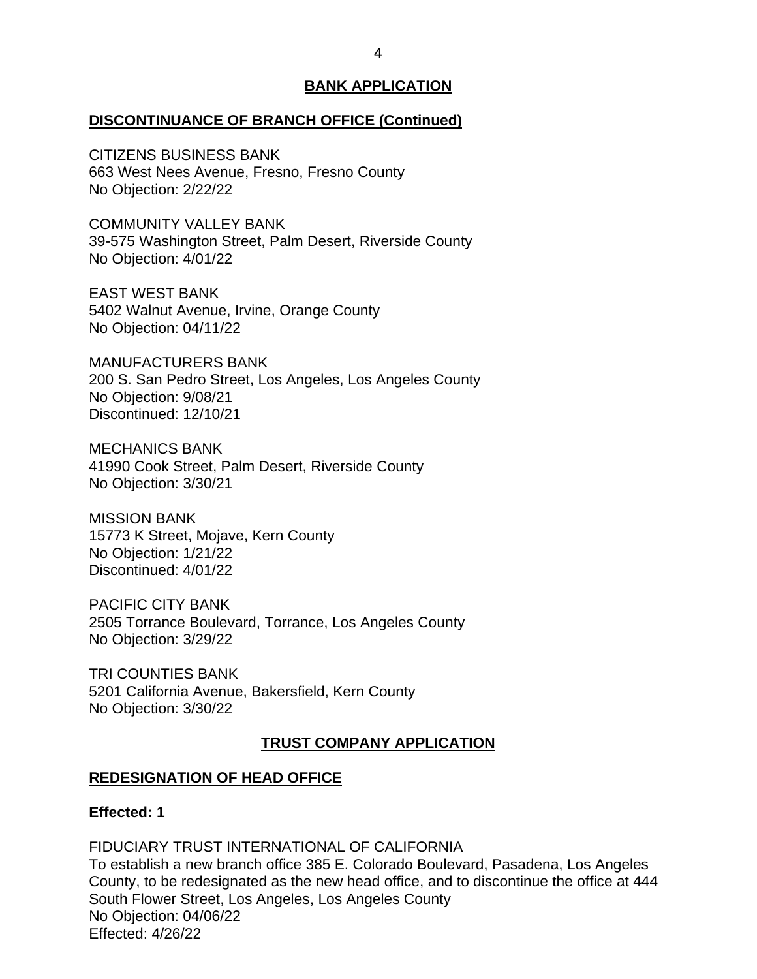### <span id="page-4-0"></span>**DISCONTINUANCE OF BRANCH OFFICE (Continued)**

CITIZENS BUSINESS BANK 663 West Nees Avenue, Fresno, Fresno County No Objection: 2/22/22

COMMUNITY VALLEY BANK 39-575 Washington Street, Palm Desert, Riverside County No Objection: 4/01/22

EAST WEST BANK 5402 Walnut Avenue, Irvine, Orange County No Objection: 04/11/22

 200 S. San Pedro Street, Los Angeles, Los Angeles County MANUFACTURERS BANK No Objection: 9/08/21 Discontinued: 12/10/21

 MECHANICS BANK 41990 Cook Street, Palm Desert, Riverside County No Objection: 3/30/21

MISSION BANK 15773 K Street, Mojave, Kern County No Objection: 1/21/22 Discontinued: 4/01/22

 2505 Torrance Boulevard, Torrance, Los Angeles County PACIFIC CITY BANK No Objection: 3/29/22

TRI COUNTIES BANK 5201 California Avenue, Bakersfield, Kern County No Objection: 3/30/22

# **TRUST COMPANY APPLICATION**

#### **REDESIGNATION OF HEAD OFFICE**

## **Effected: 1**

## FIDUCIARY TRUST INTERNATIONAL OF CALIFORNIA

 To establish a new branch office 385 E. Colorado Boulevard, Pasadena, Los Angeles County, to be redesignated as the new head office, and to discontinue the office at 444 South Flower Street, Los Angeles, Los Angeles County No Objection: 04/06/22 Effected: 4/26/22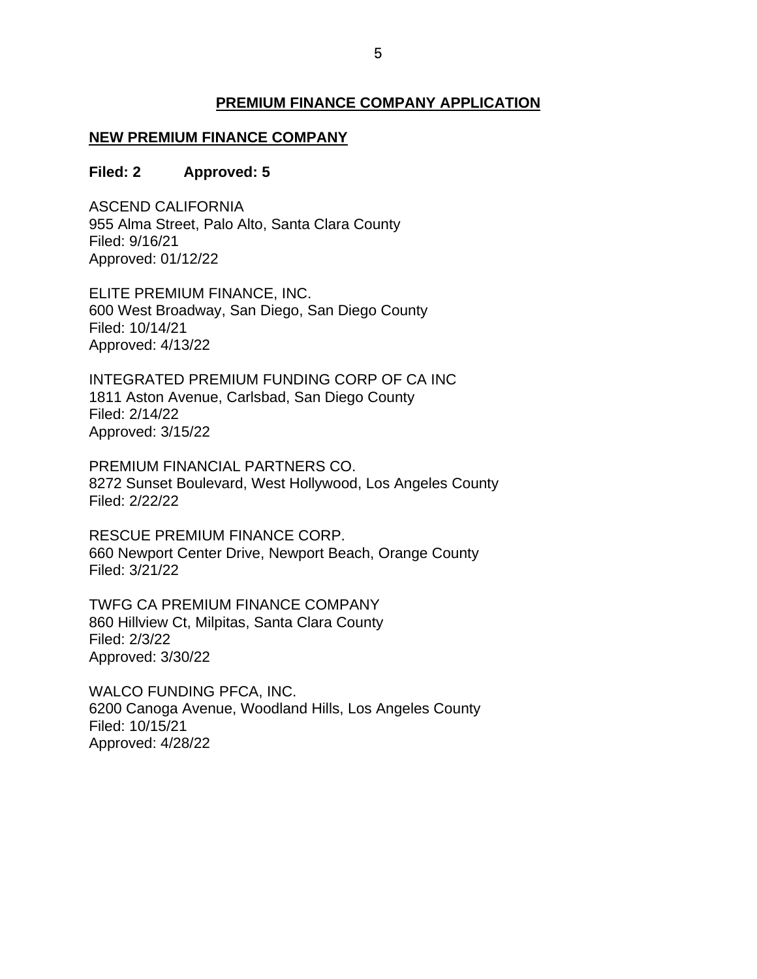### **PREMIUM FINANCE COMPANY APPLICATION**

# <span id="page-5-0"></span> **NEW PREMIUM FINANCE COMPANY**

#### **Filed: 2 Filed: 2 Approved: 5**

 Filed: 9/16/21 ASCEND CALIFORNIA 955 Alma Street, Palo Alto, Santa Clara County Approved: 01/12/22

ELITE PREMIUM FINANCE, INC. 600 West Broadway, San Diego, San Diego County Filed: 10/14/21 Approved: 4/13/22

 Filed: 2/14/22 INTEGRATED PREMIUM FUNDING CORP OF CA INC 1811 Aston Avenue, Carlsbad, San Diego County Approved: 3/15/22

 PREMIUM FINANCIAL PARTNERS CO. 8272 Sunset Boulevard, West Hollywood, Los Angeles County Filed: 2/22/22

 660 Newport Center Drive, Newport Beach, Orange County RESCUE PREMIUM FINANCE CORP. Filed: 3/21/22

 860 Hillview Ct, Milpitas, Santa Clara County TWFG CA PREMIUM FINANCE COMPANY Filed: 2/3/22 Approved: 3/30/22

 6200 Canoga Avenue, Woodland Hills, Los Angeles County WALCO FUNDING PFCA, INC. Filed: 10/15/21 Approved: 4/28/22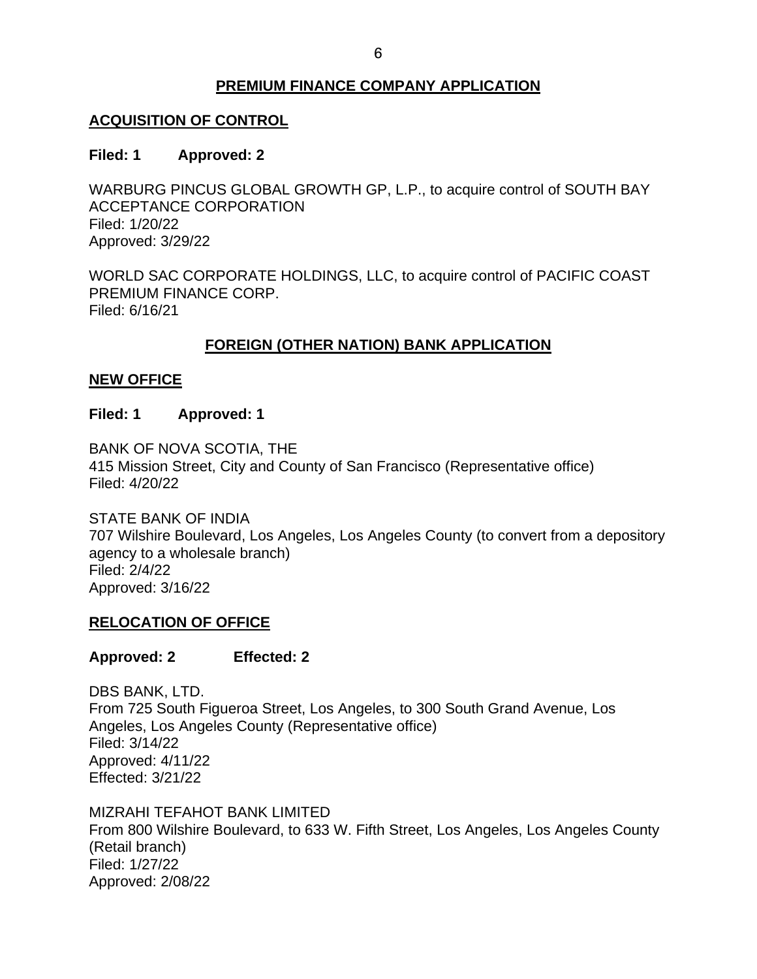# **PREMIUM FINANCE COMPANY APPLICATION**

# <span id="page-6-0"></span>**ACQUISITION OF CONTROL**

#### **Filed: 1 Filed: 1 Approved: 2**

WARBURG PINCUS GLOBAL GROWTH GP, L.P., to acquire control of SOUTH BAY ACCEPTANCE CORPORATION Filed: 1/20/22 Approved: 3/29/22

 WORLD SAC CORPORATE HOLDINGS, LLC, to acquire control of PACIFIC COAST Filed: 6/16/21 PREMIUM FINANCE CORP.

# **FOREIGN (OTHER NATION) BANK APPLICATION**

# **NEW OFFICE**

### **Filed: 1 Approved: 1**

BANK OF NOVA SCOTIA, THE 415 Mission Street, City and County of San Francisco (Representative office) Filed: 4/20/22

 707 Wilshire Boulevard, Los Angeles, Los Angeles County (to convert from a depository STATE BANK OF INDIA agency to a wholesale branch) Filed: 2/4/22 Approved: 3/16/22

# **RELOCATION OF OFFICE**

## **Approved: 2 Effected: 2**

 Angeles, Los Angeles County (Representative office) DBS BANK, LTD. From 725 South Figueroa Street, Los Angeles, to 300 South Grand Avenue, Los Filed: 3/14/22 Approved: 4/11/22 Effected: 3/21/22

 From 800 Wilshire Boulevard, to 633 W. Fifth Street, Los Angeles, Los Angeles County Filed: 1/27/22 Approved: 2/08/22 MIZRAHI TEFAHOT BANK LIMITED (Retail branch)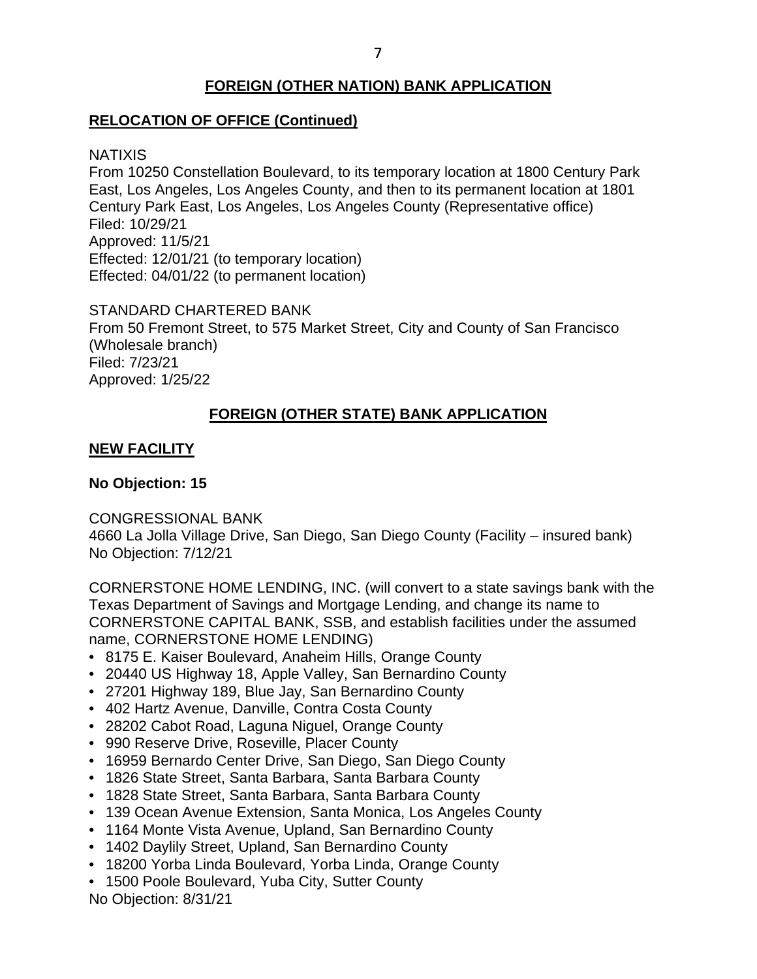# **FOREIGN (OTHER NATION) BANK APPLICATION**

# <span id="page-7-0"></span>**RELOCATION OF OFFICE (Continued)**

## NATIXIS

 From 10250 Constellation Boulevard, to its temporary location at 1800 Century Park East, Los Angeles, Los Angeles County, and then to its permanent location at 1801 Century Park East, Los Angeles, Los Angeles County (Representative office) Filed: 10/29/21 Approved: 11/5/21 Effected: 12/01/21 (to temporary location) Effected: 04/01/22 (to permanent location)

 STANDARD CHARTERED BANK From 50 Fremont Street, to 575 Market Street, City and County of San Francisco (Wholesale branch) Filed: 7/23/21 Approved: 1/25/22

# **FOREIGN (OTHER STATE) BANK APPLICATION**

# **NEW FACILITY**

# **No Objection: 15**

CONGRESSIONAL BANK

 4660 La Jolla Village Drive, San Diego, San Diego County (Facility – insured bank) No Objection: 7/12/21

 CORNERSTONE HOME LENDING, INC. (will convert to a state savings bank with the Texas Department of Savings and Mortgage Lending, and change its name to CORNERSTONE CAPITAL BANK, SSB, and establish facilities under the assumed name, CORNERSTONE HOME LENDING)

- 8175 E. Kaiser Boulevard, Anaheim Hills, Orange County
- 20440 US Highway 18, Apple Valley, San Bernardino County
- 27201 Highway 189, Blue Jay, San Bernardino County
- 402 Hartz Avenue, Danville, Contra Costa County
- 28202 Cabot Road, Laguna Niguel, Orange County
- 990 Reserve Drive, Roseville, Placer County
- 16959 Bernardo Center Drive, San Diego, San Diego County
- 1826 State Street, Santa Barbara, Santa Barbara County
- 1828 State Street, Santa Barbara, Santa Barbara County
- 139 Ocean Avenue Extension, Santa Monica, Los Angeles County
- 1164 Monte Vista Avenue, Upland, San Bernardino County
- 1402 Daylily Street, Upland, San Bernardino County
- 18200 Yorba Linda Boulevard, Yorba Linda, Orange County
- 1500 Poole Boulevard, Yuba City, Sutter County

No Objection: 8/31/21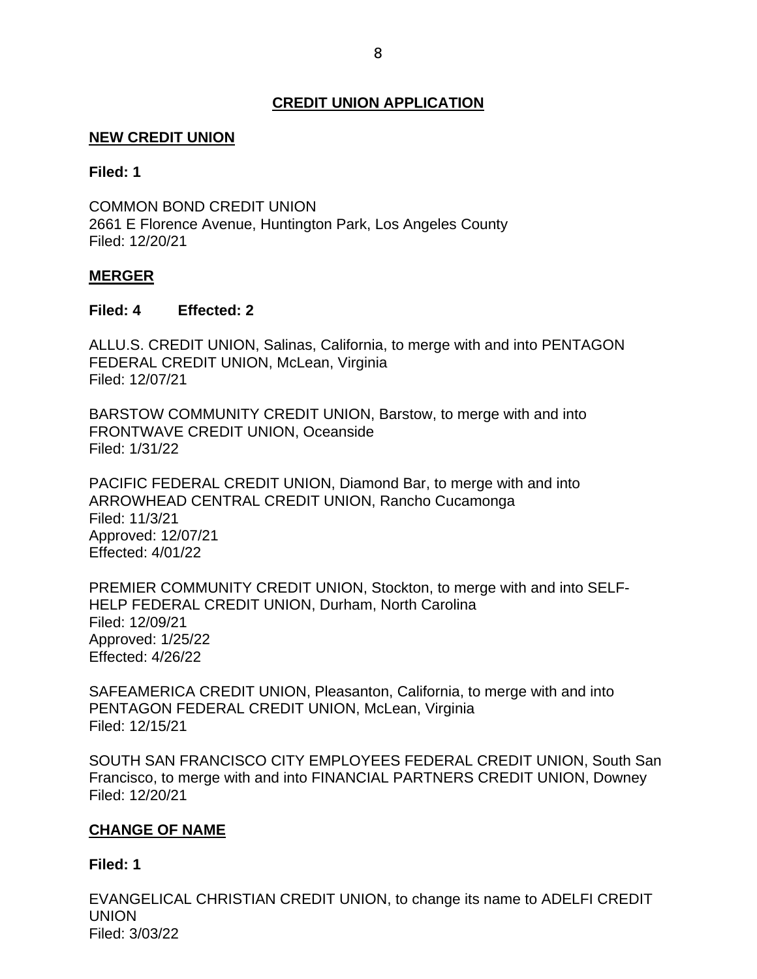# **CREDIT UNION APPLICATION**

# <span id="page-8-0"></span> **NEW CREDIT UNION**

## **Filed: 1**

COMMON BOND CREDIT UNION 2661 E Florence Avenue, Huntington Park, Los Angeles County Filed: 12/20/21

## **MERGER**

### **Filed: 4 Effected: 2**

 ALLU.S. CREDIT UNION, Salinas, California, to merge with and into PENTAGON FEDERAL CREDIT UNION, McLean, Virginia Filed: 12/07/21

 FRONTWAVE CREDIT UNION, Oceanside BARSTOW COMMUNITY CREDIT UNION, Barstow, to merge with and into Filed: 1/31/22

 PACIFIC FEDERAL CREDIT UNION, Diamond Bar, to merge with and into ARROWHEAD CENTRAL CREDIT UNION, Rancho Cucamonga Filed: 11/3/21 Approved: 12/07/21 Effected: 4/01/22

 Approved: 1/25/22 PREMIER COMMUNITY CREDIT UNION, Stockton, to merge with and into SELF-HELP FEDERAL CREDIT UNION, Durham, North Carolina Filed: 12/09/21 Effected: 4/26/22

 SAFEAMERICA CREDIT UNION, Pleasanton, California, to merge with and into PENTAGON FEDERAL CREDIT UNION, McLean, Virginia Filed: 12/15/21

 Francisco, to merge with and into FINANCIAL PARTNERS CREDIT UNION, Downey SOUTH SAN FRANCISCO CITY EMPLOYEES FEDERAL CREDIT UNION, South San Filed: 12/20/21

## **CHANGE OF NAME**

## **Filed: 1**

EVANGELICAL CHRISTIAN CREDIT UNION, to change its name to ADELFI CREDIT UNION Filed: 3/03/22